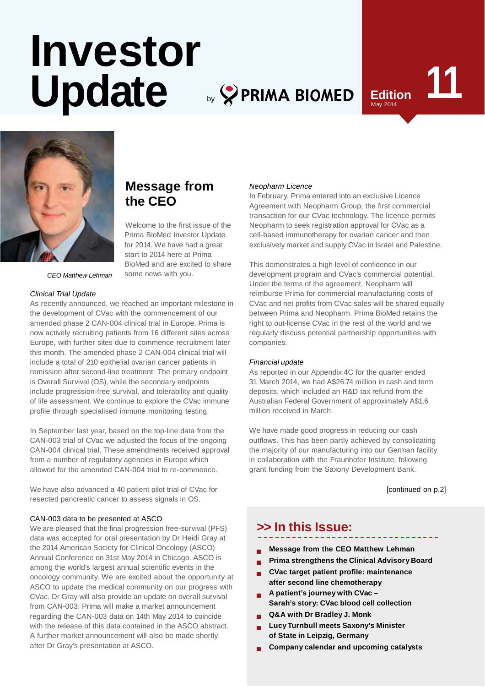# Investor<br>Update **by SPRIMA BIOMED** Edition by **PRIMA BIOMED**

**Message from**

Welcome to the first issue of the Prima BioMed Investor Update for 2014. We have had a great start to 2014 here at Prima BioMed and are excited to share

**the CEO**

some news with you.

# May 2014



*CEO Matthew Lehman*

#### *Clinical Trial Update*

As recently announced, we reached an important milestone in the development of CVac with the commencement of our amended phase 2 CAN-004 clinical trial in Europe. Prima is now actively recruiting patients from 16 different sites across Europe, with further sites due to commence recruitment later this month. The amended phase 2 CAN-004 clinical trial will include a total of 210 epithelial ovarian cancer patients in remission after second-line treatment. The primary endpoint is Overall Survival (OS), while the secondary endpoints include progression-free survival, and tolerability and quality of life assessment. We continue to explore the CVac immune profile through specialised immune monitoring testing.

In September last year, based on the top-line data from the CAN-003 trial of CVac we adjusted the focus of the ongoing CAN-004 clinical trial. These amendments received approval from a number of regulatory agencies in Europe which allowed for the amended CAN-004 trial to re-commence.

We have also advanced a 40 patient pilot trial of CVac for resected pancreatic cancer to assess signals in OS.

#### CAN-003 data to be presented at ASCO

We are pleased that the final progression free-survival (PFS) data was accepted for oral presentation by Dr Heidi Gray at the 2014 American Society for Clinical Oncology (ASCO) Annual Conference on 31st May 2014 in Chicago. ASCO is among the world's largest annual scientific events in the oncology community. We are excited about the opportunity at ASCO to update the medical community on our progress with CVac. Dr Gray will also provide an update on overall survival from CAN-003. Prima will make a market announcement regarding the CAN-003 data on 14th May 2014 to coincide with the release of this data contained in the ASCO abstract. A further market announcement will also be made shortly after Dr Gray's presentation at ASCO.

#### *Neopharm Licence*

In February, Prima entered into an exclusive Licence Agreement with Neopharm Group; the first commercial transaction for our CVac technology. The licence permits Neopharm to seek registration approval for CVac as a cell-based immunotherapy for ovarian cancer and then exclusively market and supply CVac in Israel and Palestine.

This demonstrates a high level of confidence in our development program and CVac's commercial potential. Under the terms of the agreement, Neopharm will reimburse Prima for commercial manufacturing costs of CVac and net profits from CVac sales will be shared equally between Prima and Neopharm. Prima BioMed retains the right to out-license CVac in the rest of the world and we regularly discuss potential partnership opportunities with companies*.*

#### *Financial update*

As reported in our Appendix 4C for the quarter ended 31 March 2014, we had A\$26.74 million in cash and term deposits, which included an R&D tax refund from the Australian Federal Government of approximately A\$1.6 million received in March.

We have made good progress in reducing our cash outflows. This has been partly achieved by consolidating the majority of our manufacturing into our German facility in collaboration with the Fraunhofer Institute, following grant funding from the Saxony Development Bank.

[continued on p.2]

## **>> In this Issue:**

- **Message from the CEO Matthew Lehman**
- **Prima strengthens the Clinical Advisory Board**
- **CVac target patient profile: maintenance after second line chemotherapy**
- **A patient's journey with CVac – Sarah's story: CVac blood cell collection**
- **Q&A with Dr Bradley J. Monk**
- **Lucy Turnbull meets Saxony's Minister of State in Leipzig, Germany**
- **Company calendar and upcoming catalysts**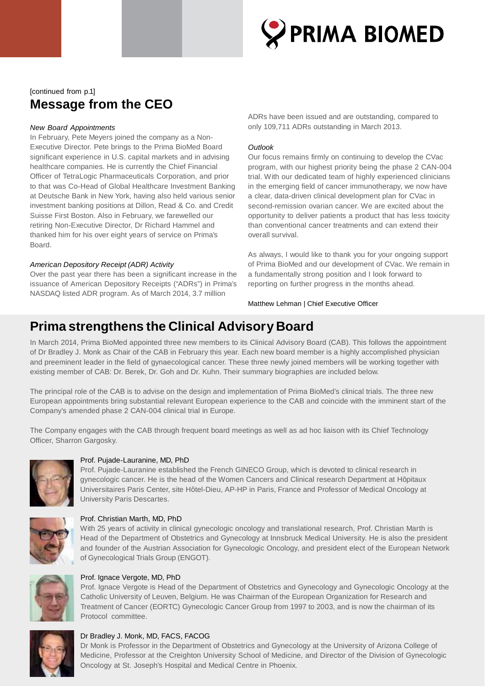

## [continued from p.1] **Message from the CEO**

### *New Board Appointments*

In February, Pete Meyers joined the company as a Non-Executive Director. Pete brings to the Prima BioMed Board significant experience in U.S. capital markets and in advising healthcare companies. He is currently the Chief Financial Officer of TetraLogic Pharmaceuticals Corporation, and prior to that was Co-Head of Global Healthcare Investment Banking at Deutsche Bank in New York, having also held various senior investment banking positions at Dillon, Read & Co. and Credit Suisse First Boston. Also in February, we farewelled our retiring Non-Executive Director, Dr Richard Hammel and thanked him for his over eight years of service on Prima's Board.

#### *American Depository Receipt (ADR) Activity*

Over the past year there has been a significant increase in the issuance of American Depository Receipts ("ADRs") in Prima's NASDAQ listed ADR program. As of March 2014, 3.7 million

ADRs have been issued and are outstanding, compared to only 109,711 ADRs outstanding in March 2013.

#### *Outlook*

Our focus remains firmly on continuing to develop the CVac program, with our highest priority being the phase 2 CAN-004 trial. With our dedicated team of highly experienced clinicians in the emerging field of cancer immunotherapy, we now have a clear, data-driven clinical development plan for CVac in second-remission ovarian cancer. We are excited about the opportunity to deliver patients a product that has less toxicity than conventional cancer treatments and can extend their overall survival.

As always, I would like to thank you for your ongoing support of Prima BioMed and our development of CVac. We remain in a fundamentally strong position and I look forward to reporting on further progress in the months ahead.

Matthew Lehman | Chief Executive Officer

## **Prima strengthens the Clinical Advisory Board**

In March 2014, Prima BioMed appointed three new members to its Clinical Advisory Board (CAB). This follows the appointment of Dr Bradley J. Monk as Chair of the CAB in February this year. Each new board member is a highly accomplished physician and preeminent leader in the field of gynaecological cancer. These three newly joined members will be working together with existing member of CAB: Dr. Berek, Dr. Goh and Dr. Kuhn. Their summary biographies are included below.

The principal role of the CAB is to advise on the design and implementation of Prima BioMed's clinical trials. The three new European appointments bring substantial relevant European experience to the CAB and coincide with the imminent start of the Company's amended phase 2 CAN-004 clinical trial in Europe.

The Company engages with the CAB through frequent board meetings as well as ad hoc liaison with its Chief Technology Officer, Sharron Gargosky.



## Prof. Pujade-Lauranine, MD, PhD

Prof. Pujade-Lauranine established the French GINECO Group, which is devoted to clinical research in gynecologic cancer. He is the head of the Women Cancers and Clinical research Department at Hôpitaux Universitaires Paris Center, site Hôtel-Dieu, AP-HP in Paris, France and Professor of Medical Oncology at University Paris Descartes.



#### Prof. Christian Marth, MD, PhD

With 25 years of activity in clinical gynecologic oncology and translational research, Prof. Christian Marth is Head of the Department of Obstetrics and Gynecology at Innsbruck Medical University. He is also the president and founder of the Austrian Association for Gynecologic Oncology, and president elect of the European Network of Gynecological Trials Group (ENGOT).



#### Prof. Ignace Vergote, MD, PhD

Prof. Ignace Vergote is Head of the Department of Obstetrics and Gynecology and Gynecologic Oncology at the Catholic University of Leuven, Belgium. He was Chairman of the European Organization for Research and Treatment of Cancer (EORTC) Gynecologic Cancer Group from 1997 to 2003, and is now the chairman of its Protocol committee.



## Dr Bradley J. Monk, MD, FACS, FACOG

Dr Monk is Professor in the Department of Obstetrics and Gynecology at the University of Arizona College of Medicine, Professor at the Creighton University School of Medicine, and Director of the Division of Gynecologic Oncology at St. Joseph's Hospital and Medical Centre in Phoenix.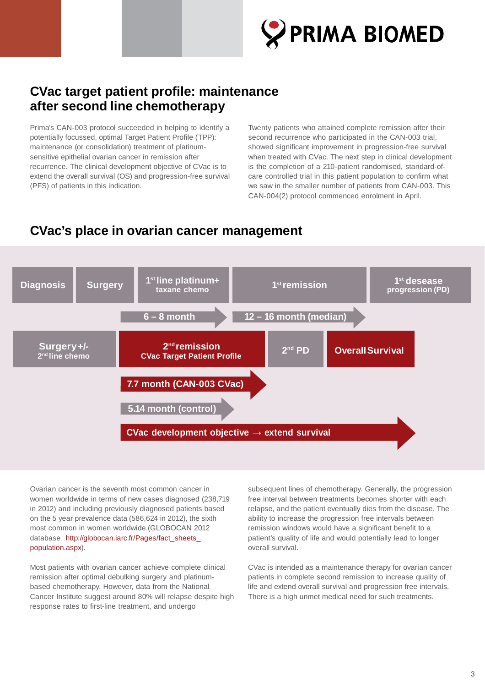

## **CVac target patient profile: maintenance after second line chemotherapy**

Prima's CAN-003 protocol succeeded in helping to identify a potentially focussed, optimal Target Patient Profile (TPP): maintenance (or consolidation) treatment of platinumsensitive epithelial ovarian cancer in remission after recurrence. The clinical development objective of CVac is to extend the overall survival (OS) and progression-free survival (PFS) of patients in this indication.

Twenty patients who attained complete remission after their second recurrence who participated in the CAN-003 trial, showed significant improvement in progression-free survival when treated with CVac. The next step in clinical development is the completion of a 210-patient randomised, standard-ofcare controlled trial in this patient population to confirm what we saw in the smaller number of patients from CAN-003. This CAN-004(2) protocol commenced enrolment in April.

## **CVac's place in ovarian cancer management**



Ovarian cancer is the seventh most common cancer in women worldwide in terms of new cases diagnosed (238,719 in 2012) and including previously diagnosed patients based on the 5 year prevalence data (586,624 in 2012), the sixth most common in women worldwide.(GLOBOCAN 2012 database [http://globocan.iarc.fr/Pages/fact\\_sheets\\_](http://globocan.iarc.fr/Pages/fact_sheets_) population.aspx).

Most patients with ovarian cancer achieve complete clinical remission after optimal debulking surgery and platinumbased chemotherapy. However, data from the National Cancer Institute suggest around 80% will relapse despite high response rates to first-line treatment, and undergo

subsequent lines of chemotherapy. Generally, the progression free interval between treatments becomes shorter with each relapse, and the patient eventually dies from the disease. The ability to increase the progression free intervals between remission windows would have a significant benefit to a patient's quality of life and would potentially lead to longer overall survival.

CVac is intended as a maintenance therapy for ovarian cancer patients in complete second remission to increase quality of life and extend overall survival and progression free intervals. There is a high unmet medical need for such treatments.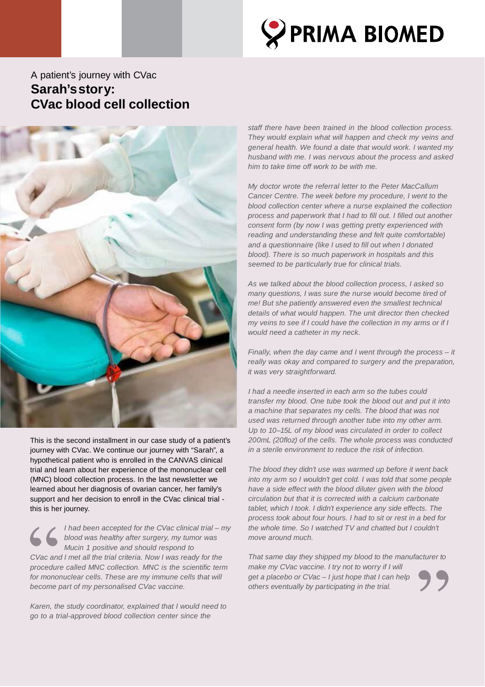

## A patient's journey with CVac **Sarah'sstory: CVac blood cell collection**



This is the second installment in our case study of a patient's journey with CVac. We continue our journey with "Sarah", a hypothetical patient who is enrolled in the CANVAS clinical trial and learn about her experience of the mononuclear cell (MNC) blood collection process. In the last newsletter we learned about her diagnosis of ovarian cancer, her family's support and her decision to enroll in the CVac clinical trial this is her journey.

*I had been accepted for the CVac clinical trial – my blood was healthy after surgery, my tumor was Mucin 1 positive and should respond to CVac and I met all the trial criteria. Now I was ready for the procedure called MNC collection. MNC is the scientific term for mononuclear cells. These are my immune cells that will become part of my personalised CVac vaccine.*

*Karen, the study coordinator, explained that I would need to go to a trial-approved blood collection center since the*

*staff there have been trained in the blood collection process. They would explain what will happen and check my veins and general health. We found a date that would work. I wanted my husband with me. I was nervous about the process and asked him to take time off work to be with me.*

*My doctor wrote the referral letter to the Peter MacCallum Cancer Centre. The week before my procedure, I went to the blood collection center where a nurse explained the collection process and paperwork that I had to fill out. I filled out another consent form (by now I was getting pretty experienced with reading and understanding these and felt quite comfortable) and a questionnaire (like I used to fill out when I donated blood). There is so much paperwork in hospitals and this seemed to be particularly true for clinical trials.*

*As we talked about the blood collection process, I asked so many questions, I was sure the nurse would become tired of me! But she patiently answered even the smallest technical details of what would happen. The unit director then checked my veins to see if I could have the collection in my arms or if I would need a catheter in my neck.*

*Finally, when the day came and I went through the process – it really was okay and compared to surgery and the preparation, it was very straightforward.*

*I had a needle inserted in each arm so the tubes could transfer my blood. One tube took the blood out and put it into a machine that separates my cells. The blood that was not used was returned through another tube into my other arm. Up to 10–15L of my blood was circulated in order to collect 200mL (20floz) of the cells. The whole process was conducted in a sterile environment to reduce the risk of infection.*

*The blood they didn't use was warmed up before it went back into my arm so I wouldn't get cold. I was told that some people have a side effect with the blood diluter given with the blood circulation but that it is corrected with a calcium carbonate tablet, which I took. I didn't experience any side effects. The process took about four hours. I had to sit or rest in a bed for the whole time. So I watched TV and chatted but I couldn't move around much.*

*That same day they shipped my blood to the manufacturer to make my CVac vaccine. I try not to worry if I will get a placebo or CVac – I just hope that I can help others eventually by participating in the trial.*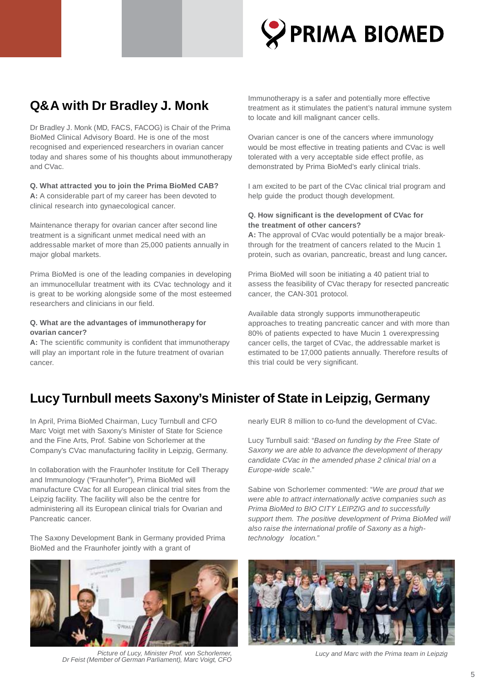

## **Q&A with Dr Bradley J. Monk**

Dr Bradley J. Monk (MD, FACS, FACOG) is Chair of the Prima BioMed Clinical Advisory Board. He is one of the most recognised and experienced researchers in ovarian cancer today and shares some of his thoughts about immunotherapy and CVac.

**Q. What attracted you to join the Prima BioMed CAB? A:** A considerable part of my career has been devoted to clinical research into gynaecological cancer.

Maintenance therapy for ovarian cancer after second line treatment is a significant unmet medical need with an addressable market of more than 25,000 patients annually in major global markets.

Prima BioMed is one of the leading companies in developing an immunocellular treatment with its CVac technology and it is great to be working alongside some of the most esteemed researchers and clinicians in our field.

### **Q. What are the advantages of immunotherapy for ovarian cancer?**

**A:** The scientific community is confident that immunotherapy will play an important role in the future treatment of ovarian cancer.

Immunotherapy is a safer and potentially more effective treatment as it stimulates the patient's natural immune system to locate and kill malignant cancer cells.

Ovarian cancer is one of the cancers where immunology would be most effective in treating patients and CVac is well tolerated with a very acceptable side effect profile, as demonstrated by Prima BioMed's early clinical trials.

I am excited to be part of the CVac clinical trial program and help guide the product though development.

## **Q. How significant is the development of CVac for the treatment of other cancers?**

**A:** The approval of CVac would potentially be a major breakthrough for the treatment of cancers related to the Mucin 1 protein, such as ovarian, pancreatic, breast and lung cancer**.**

Prima BioMed will soon be initiating a 40 patient trial to assess the feasibility of CVac therapy for resected pancreatic cancer, the CAN-301 protocol.

Available data strongly supports immunotherapeutic approaches to treating pancreatic cancer and with more than 80% of patients expected to have Mucin 1 overexpressing cancer cells, the target of CVac, the addressable market is estimated to be 17,000 patients annually. Therefore results of this trial could be very significant.

## **Lucy Turnbull meets Saxony's Minister of State in Leipzig, Germany**

In April, Prima BioMed Chairman, Lucy Turnbull and CFO Marc Voigt met with Saxony's Minister of State for Science and the Fine Arts, Prof. Sabine von Schorlemer at the Company's CVac manufacturing facility in Leipzig, Germany.

In collaboration with the Fraunhofer Institute for Cell Therapy and Immunology ("Fraunhofer"), Prima BioMed will manufacture CVac for all European clinical trial sites from the Leipzig facility. The facility will also be the centre for administering all its European clinical trials for Ovarian and Pancreatic cancer.

The Saxony Development Bank in Germany provided Prima BioMed and the Fraunhofer jointly with a grant of



*Picture of Lucy, Minister Prof. von Schorlemer, Dr Feist (Member of German Parliament), Marc Voigt, CFO*

nearly EUR 8 million to co-fund the development of CVac.

Lucy Turnbull said: "*Based on funding by the Free State of Saxony we are able to advance the development of therapy candidate CVac in the amended phase 2 clinical trial on a Europe-wide scale.*"

Sabine von Schorlemer commented: "*We are proud that we were able to attract internationally active companies such as Prima BioMed to BIO CITY LEIPZIG and to successfully support them. The positive development of Prima BioMed will also raise the international profile of Saxony as a hightechnology location."*



*Lucy and Marc with the Prima team in Leipzig*